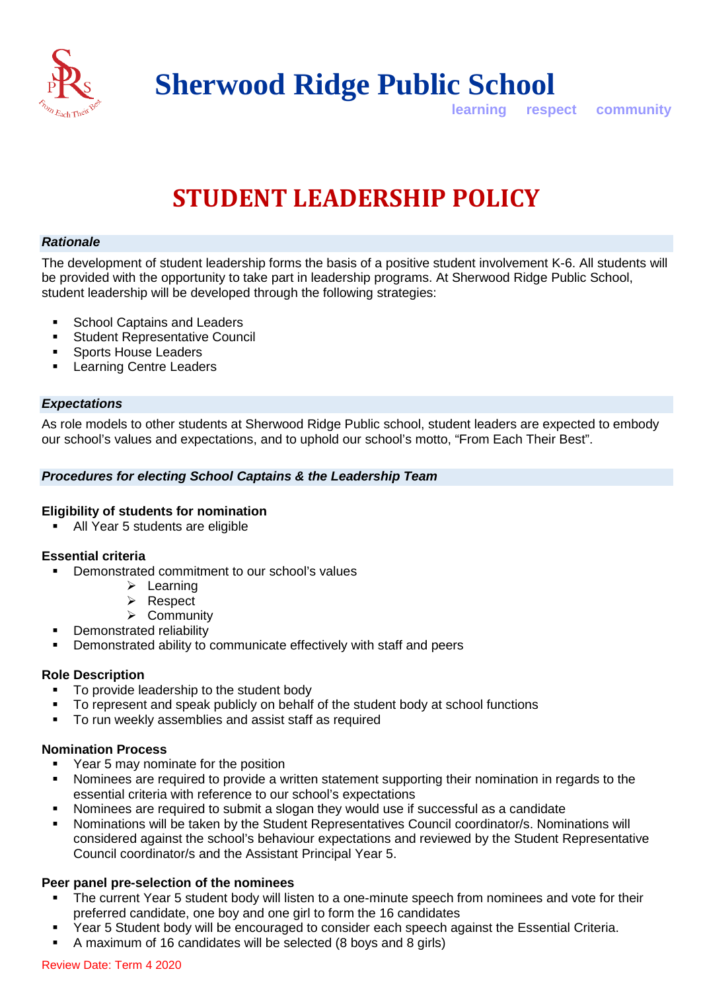

**Sherwood Ridge Public School**

**learning respect community**

# **STUDENT LEADERSHIP POLICY**

## *Rationale*

The development of student leadership forms the basis of a positive student involvement K-6. All students will be provided with the opportunity to take part in leadership programs. At Sherwood Ridge Public School, student leadership will be developed through the following strategies:

- School Captains and Leaders
- Student Representative Council
- **Sports House Leaders**
- Learning Centre Leaders

#### *Expectations*

As role models to other students at Sherwood Ridge Public school, student leaders are expected to embody our school's values and expectations, and to uphold our school's motto, "From Each Their Best".

## *Procedures for electing School Captains & the Leadership Team*

#### **Eligibility of students for nomination**

All Year 5 students are eligible

## **Essential criteria**

- Demonstrated commitment to our school's values
	- $\triangleright$  Learning
	- **▶ Respect**
	- $\triangleright$  Community
- Demonstrated reliability
- Demonstrated ability to communicate effectively with staff and peers

#### **Role Description**

- To provide leadership to the student body
- To represent and speak publicly on behalf of the student body at school functions
- To run weekly assemblies and assist staff as required

#### **Nomination Process**

- **•** Year 5 may nominate for the position
- Nominees are required to provide a written statement supporting their nomination in regards to the essential criteria with reference to our school's expectations
- Nominees are required to submit a slogan they would use if successful as a candidate
- Nominations will be taken by the Student Representatives Council coordinator/s. Nominations will considered against the school's behaviour expectations and reviewed by the Student Representative Council coordinator/s and the Assistant Principal Year 5.

## **Peer panel pre-selection of the nominees**

- The current Year 5 student body will listen to a one-minute speech from nominees and vote for their preferred candidate, one boy and one girl to form the 16 candidates
- Year 5 Student body will be encouraged to consider each speech against the Essential Criteria.
- A maximum of 16 candidates will be selected (8 boys and 8 girls)

#### Review Date: Term 4 2020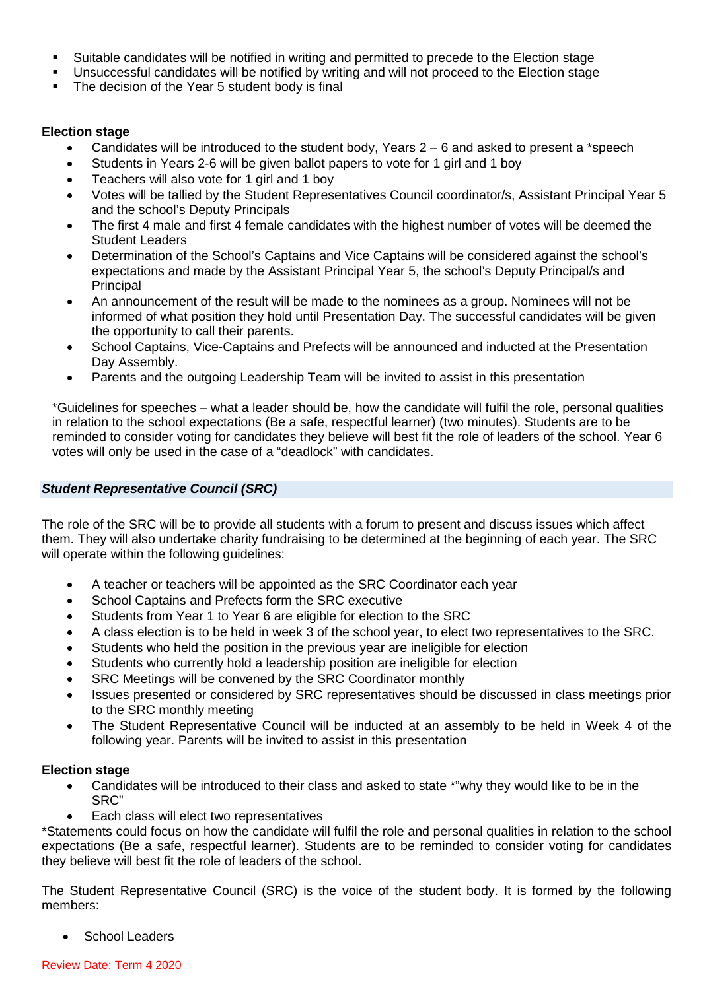- Suitable candidates will be notified in writing and permitted to precede to the Election stage
- Unsuccessful candidates will be notified by writing and will not proceed to the Election stage
- The decision of the Year 5 student body is final

## **Election stage**

- Candidates will be introduced to the student body, Years  $2-6$  and asked to present a \*speech
- Students in Years 2-6 will be given ballot papers to vote for 1 girl and 1 boy
- Teachers will also vote for 1 girl and 1 boy
- Votes will be tallied by the Student Representatives Council coordinator/s, Assistant Principal Year 5 and the school's Deputy Principals
- The first 4 male and first 4 female candidates with the highest number of votes will be deemed the Student Leaders
- Determination of the School's Captains and Vice Captains will be considered against the school's expectations and made by the Assistant Principal Year 5, the school's Deputy Principal/s and Principal
- An announcement of the result will be made to the nominees as a group. Nominees will not be informed of what position they hold until Presentation Day. The successful candidates will be given the opportunity to call their parents.
- School Captains, Vice-Captains and Prefects will be announced and inducted at the Presentation Day Assembly.
- Parents and the outgoing Leadership Team will be invited to assist in this presentation

\*Guidelines for speeches – what a leader should be, how the candidate will fulfil the role, personal qualities in relation to the school expectations (Be a safe, respectful learner) (two minutes). Students are to be reminded to consider voting for candidates they believe will best fit the role of leaders of the school. Year 6 votes will only be used in the case of a "deadlock" with candidates.

## *Student Representative Council (SRC)*

The role of the SRC will be to provide all students with a forum to present and discuss issues which affect them. They will also undertake charity fundraising to be determined at the beginning of each year. The SRC will operate within the following guidelines:

- A teacher or teachers will be appointed as the SRC Coordinator each year
- School Captains and Prefects form the SRC executive
- Students from Year 1 to Year 6 are eligible for election to the SRC
- A class election is to be held in week 3 of the school year, to elect two representatives to the SRC.
- Students who held the position in the previous year are ineligible for election
- Students who currently hold a leadership position are ineligible for election
- SRC Meetings will be convened by the SRC Coordinator monthly
- Issues presented or considered by SRC representatives should be discussed in class meetings prior to the SRC monthly meeting
- The Student Representative Council will be inducted at an assembly to be held in Week 4 of the following year. Parents will be invited to assist in this presentation

#### **Election stage**

- Candidates will be introduced to their class and asked to state \*"why they would like to be in the SRC"
- Each class will elect two representatives

\*Statements could focus on how the candidate will fulfil the role and personal qualities in relation to the school expectations (Be a safe, respectful learner). Students are to be reminded to consider voting for candidates they believe will best fit the role of leaders of the school.

The Student Representative Council (SRC) is the voice of the student body. It is formed by the following members:

• School Leaders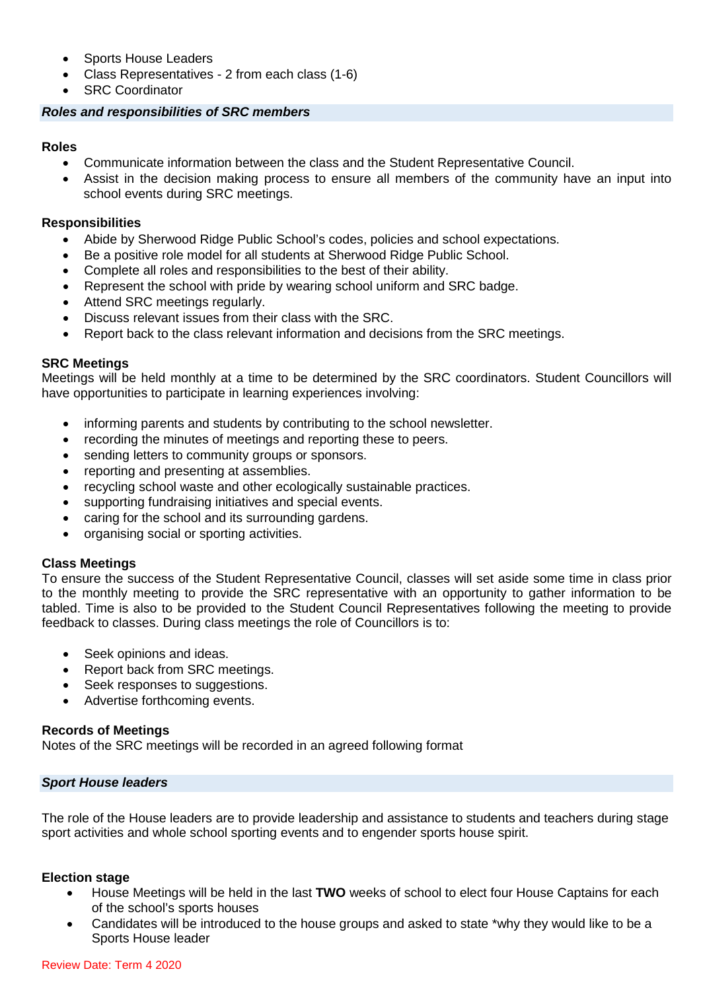- Sports House Leaders
- Class Representatives 2 from each class (1-6)
- **SRC Coordinator**

## *Roles and responsibilities of SRC members*

## **Roles**

- Communicate information between the class and the Student Representative Council.
- Assist in the decision making process to ensure all members of the community have an input into school events during SRC meetings.

## **Responsibilities**

- Abide by Sherwood Ridge Public School's codes, policies and school expectations.
- Be a positive role model for all students at Sherwood Ridge Public School.
- Complete all roles and responsibilities to the best of their ability.
- Represent the school with pride by wearing school uniform and SRC badge.
- Attend SRC meetings regularly.
- Discuss relevant issues from their class with the SRC.
- Report back to the class relevant information and decisions from the SRC meetings.

## **SRC Meetings**

Meetings will be held monthly at a time to be determined by the SRC coordinators. Student Councillors will have opportunities to participate in learning experiences involving:

- informing parents and students by contributing to the school newsletter.
- recording the minutes of meetings and reporting these to peers.
- sending letters to community groups or sponsors.
- reporting and presenting at assemblies.
- recycling school waste and other ecologically sustainable practices.
- supporting fundraising initiatives and special events.
- caring for the school and its surrounding gardens.
- organising social or sporting activities.

## **Class Meetings**

To ensure the success of the Student Representative Council, classes will set aside some time in class prior to the monthly meeting to provide the SRC representative with an opportunity to gather information to be tabled. Time is also to be provided to the Student Council Representatives following the meeting to provide feedback to classes. During class meetings the role of Councillors is to:

- Seek opinions and ideas.
- Report back from SRC meetings.
- Seek responses to suggestions.
- Advertise forthcoming events.

## **Records of Meetings**

Notes of the SRC meetings will be recorded in an agreed following format

#### *Sport House leaders*

The role of the House leaders are to provide leadership and assistance to students and teachers during stage sport activities and whole school sporting events and to engender sports house spirit.

## **Election stage**

- House Meetings will be held in the last **TWO** weeks of school to elect four House Captains for each of the school's sports houses
- Candidates will be introduced to the house groups and asked to state \*why they would like to be a Sports House leader